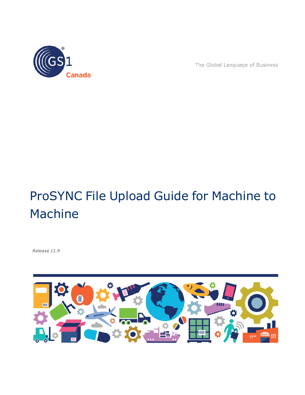

The Global Language of Business

# ProSYNC File Upload Guide for Machine to Machine

*Release 11.9*

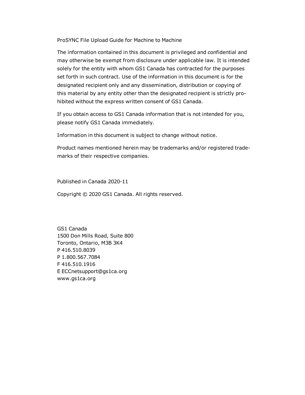ProSYNC File Upload Guide for Machine to Machine

The information contained in this document is privileged and confidential and may otherwise be exempt from disclosure under applicable law. It is intended solely for the entity with whom GS1 Canada has contracted for the purposes set forth in such contract. Use of the information in this document is for the designated recipient only and any dissemination, distribution or copying of this material by any entity other than the designated recipient is strictly prohibited without the express written consent of GS1 Canada.

If you obtain access to GS1 Canada information that is not intended for you, please notify GS1 Canada immediately.

Information in this document is subject to change without notice.

Product names mentioned herein may be trademarks and/or registered trademarks of their respective companies.

Published in Canada 2020-11

Copyright © 2020 GS1 Canada. All rights reserved.

GS1 Canada 1500 Don Mills Road, Suite 800 Toronto, Ontario, M3B 3K4 P 416.510.8039 P 1.800.567.7084 F 416.510.1916 E ECCnetsupport@gs1ca.org www.gs1ca.org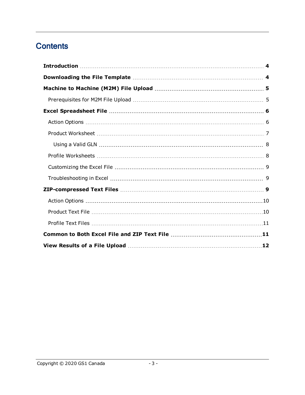## **Contents**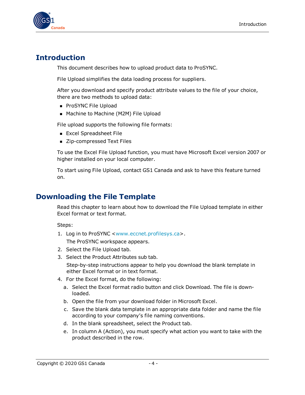

### <span id="page-3-0"></span>**Introduction**

This document describes how to upload product data to ProSYNC.

File Upload simplifies the data loading process for suppliers.

After you download and specify product attribute values to the file of your choice, there are two methods to upload data:

- **ProSYNC File Upload**
- Machine to Machine (M2M) File Upload

File upload supports the following file formats:

- **Excel Spreadsheet File**
- Zip-compressed Text Files

To use the Excel File Upload function, you must have Microsoft Excel version 2007 or higher installed on your local computer.

To start using File Upload, contact GS1 Canada and ask to have this feature turned on.

#### <span id="page-3-1"></span>**Downloading the File Template**

Read this chapter to learn about how to download the File Upload template in either Excel format or text format.

Steps:

1. Log in to ProSYNC [<www.eccnet.profilesys.ca>](http://www.eccnet.profilesys.ca/).

The ProSYNC workspace appears.

- 2. Select the File Upload tab.
- 3. Select the Product Attributes sub tab.

Step-by-step instructions appear to help you download the blank template in either Excel format or in text format.

- 4. For the Excel format, do the following:
	- a. Select the Excel format radio button and click Download. The file is downloaded.
	- b. Open the file from your download folder in Microsoft Excel.
	- c. Save the blank data template in an appropriate data folder and name the file according to your company's file naming conventions.
	- d. In the blank spreadsheet, select the Product tab.
	- e. In column A (Action), you must specify what action you want to take with the product described in the row.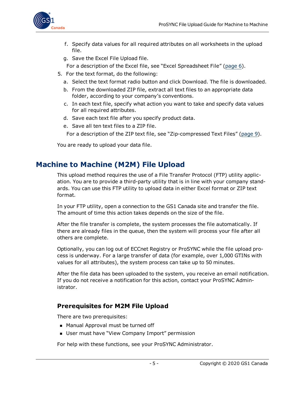

- f. Specify data values for all required attributes on all worksheets in the upload file.
- g. Save the Excel File Upload file.
- For a description of the Excel file, see "Excel Spreadsheet File" [\(page](#page-5-0) 6).
- 5. For the text format, do the following:
	- a. Select the text format radio button and click Download. The file is downloaded.
	- b. From the downloaded ZIP file, extract all text files to an appropriate data folder, according to your company's conventions.
	- c. In each text file, specify what action you want to take and specify data values for all required attributes.
	- d. Save each text file after you specify product data.
	- e. Save all ten text files to a ZIP file.

For a description of the ZIP text file, see "Zip-compressed Text Files" [\(page](#page-8-2) 9).

You are ready to upload your data file.

#### <span id="page-4-0"></span>**Machine to Machine (M2M) File Upload**

This upload method requires the use of a File Transfer Protocol (FTP) utility application. You are to provide a third-party utility that is in line with your company standards. You can use this FTP utility to upload data in either Excel format or ZIP text format.

In your FTP utility, open a connection to the GS1 Canada site and transfer the file. The amount of time this action takes depends on the size of the file.

After the file transfer is complete, the system processes the file automatically. If there are already files in the queue, then the system will process your file after all others are complete.

Optionally, you can log out of ECCnet Registry or ProSYNC while the file upload process is underway. For a large transfer of data (for example, over 1,000 GTINs with values for all attributes), the system process can take up to 50 minutes.

After the file data has been uploaded to the system, you receive an email notification. If you do not receive a notification for this action, contact your ProSYNC Administrator.

#### <span id="page-4-1"></span>**Prerequisites for M2M File Upload**

There are two prerequisites:

- Manual Approval must be turned off
- User must have "View Company Import" permission

For help with these functions, see your ProSYNC Administrator.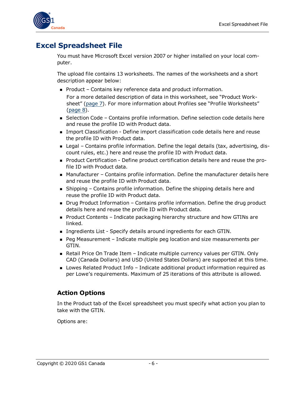

## <span id="page-5-0"></span>**Excel Spreadsheet File**

You must have Microsoft Excel version 2007 or higher installed on your local computer.

The upload file contains 13 worksheets. The names of the worksheets and a short description appear below:

 $\blacksquare$  Product – Contains key reference data and product information.

For a more detailed description of data in this worksheet, see "Product Worksheet" [\(page](#page-6-0) 7). For more information about Profiles see "Profile Worksheets" [\(page](#page-7-1) 8).

- **B** Selection Code Contains profile information. Define selection code details here and reuse the profile ID with Product data.
- <sup>n</sup> Import Classification Define import classification code details here and reuse the profile ID with Product data.
- <sup>n</sup> Legal Contains profile information. Define the legal details (tax, advertising, discount rules, etc.) here and reuse the profile ID with Product data.
- **Product Certification Define product certification details here and reuse the pro**file ID with Product data.
- Manufacturer Contains profile information. Define the manufacturer details here and reuse the profile ID with Product data.
- $\blacksquare$  Shipping Contains profile information. Define the shipping details here and reuse the profile ID with Product data.
- **Drug Product Information Contains profile information. Define the drug product** details here and reuse the profile ID with Product data.
- $\blacksquare$  Product Contents Indicate packaging hierarchy structure and how GTINs are linked.
- **n** Ingredients List Specify details around ingredients for each GTIN.
- <sup>n</sup> Peg Measurement Indicate multiple peg location and size measurements per GTIN.
- **n** Retail Price On Trade Item Indicate multiple currency values per GTIN. Only CAD (Canada Dollars) and USD (United States Dollars) are supported at this time.
- Lowes Related Product Info Indicate additional product information required as per Lowe's requirements. Maximum of 25 iterations of this attribute is allowed.

#### <span id="page-5-1"></span>**Action Options**

In the Product tab of the Excel spreadsheet you must specify what action you plan to take with the GTIN.

Options are: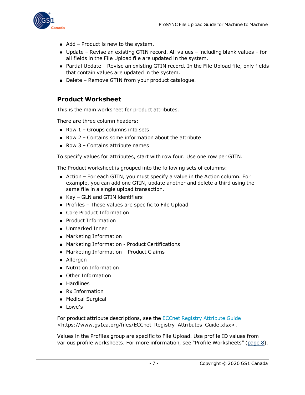

- $\blacksquare$  Add Product is new to the system.
- Update Revise an existing GTIN record. All values including blank values for all fields in the File Upload file are updated in the system.
- Partial Update Revise an existing GTIN record. In the File Upload file, only fields that contain values are updated in the system.
- Delete Remove GTIN from your product catalogue.

#### <span id="page-6-0"></span>**Product Worksheet**

This is the main worksheet for product attributes.

There are three column headers:

- Row  $1$  Groups columns into sets
- $\blacksquare$  Row 2 Contains some information about the attribute
- Row  $3$  Contains attribute names

To specify values for attributes, start with row four. Use one row per GTIN.

The Product worksheet is grouped into the following sets of columns:

- Action For each GTIN, you must specify a value in the Action column. For example, you can add one GTIN, update another and delete a third using the same file in a single upload transaction.
- $\blacksquare$  Key GLN and GTIN identifiers
- Profiles These values are specific to File Upload
- Core Product Information
- **Product Information**
- **Dramarked Inner**
- **n** Marketing Information
- Marketing Information Product Certifications
- Marketing Information Product Claims
- Allergen
- **Nutrition Information**
- **Deap** Other Information
- **n** Hardlines
- **Rx Information**
- **n** Medical Surgical
- **n** Lowe's

For product attribute descriptions, see the ECCnet Registry [Attribute](https://www.gs1ca.org/files/ECCnet_Registry_Attributes_Guide.xlsx) Guide <https://www.gs1ca.org/files/ECCnet\_Registry\_Attributes\_Guide.xlsx>.

Values in the Profiles group are specific to File Upload. Use profile ID values from various profile worksheets. For more information, see "Profile Worksheets" [\(page](#page-7-1) 8).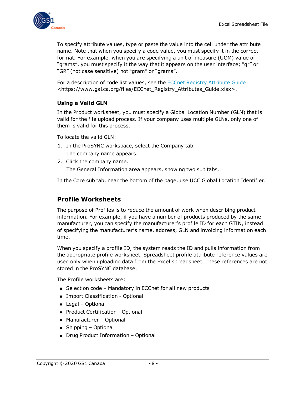

To specify attribute values, type or paste the value into the cell under the attribute name. Note that when you specify a code value, you must specify it in the correct format. For example, when you are specifying a unit of measure (UOM) value of "grams", you must specify it the way that it appears on the user interface; "gr" or "GR" (not case sensitive) not "gram" or "grams".

For a description of code list values, see the ECCnet Registry [Attribute](https://www.gs1ca.org/files/ECCnet_Registry_Attributes_Guide.xlsx) Guide <https://www.gs1ca.org/files/ECCnet\_Registry\_Attributes\_Guide.xlsx>.

#### <span id="page-7-0"></span>**Using a Valid GLN**

In the Product worksheet, you must specify a Global Location Number (GLN) that is valid for the file upload process. If your company uses multiple GLNs, only one of them is valid for this process.

To locate the valid GLN:

- 1. In the ProSYNC workspace, select the Company tab.
	- The company name appears.
- 2. Click the company name. The General Information area appears, showing two sub tabs.

In the Core sub tab, near the bottom of the page, use UCC Global Location Identifier.

#### <span id="page-7-1"></span>**Profile Worksheets**

The purpose of Profiles is to reduce the amount of work when describing product information. For example, if you have a number of products produced by the same manufacturer, you can specify the manufacturer's profile ID for each GTIN, instead of specifying the manufacturer's name, address, GLN and invoicing information each time.

When you specify a profile ID, the system reads the ID and pulls information from the appropriate profile worksheet. Spreadsheet profile attribute reference values are used only when uploading data from the Excel spreadsheet. These references are not stored in the ProSYNC database.

The Profile worksheets are:

- Selection code Mandatory in ECCnet for all new products
- **n** Import Classification Optional
- Legal Optional
- **Product Certification Optional**
- Manufacturer Optional
- **n** Shipping Optional
- Drug Product Information Optional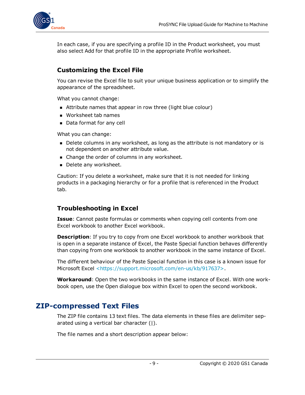

In each case, if you are specifying a profile ID in the Product worksheet, you must also select Add for that profile ID in the appropriate Profile worksheet.

#### <span id="page-8-0"></span>**Customizing the Excel File**

You can revise the Excel file to suit your unique business application or to simplify the appearance of the spreadsheet.

What you cannot change:

- **n** Attribute names that appear in row three (light blue colour)
- Worksheet tab names
- Data format for any cell

What you can change:

- Delete columns in any worksheet, as long as the attribute is not mandatory or is not dependent on another attribute value.
- Change the order of columns in any worksheet.
- Delete any worksheet.

Caution: If you delete a worksheet, make sure that it is not needed for linking products in a packaging hierarchy or for a profile that is referenced in the Product tab.

#### <span id="page-8-1"></span>**Troubleshooting in Excel**

**Issue**: Cannot paste formulas or comments when copying cell contents from one Excel workbook to another Excel workbook.

**Description**: If you try to copy from one Excel workbook to another workbook that is open in a separate instance of Excel, the Paste Special function behaves differently than copying from one workbook to another workbook in the same instance of Excel.

The different behaviour of the Paste Special function in this case is a known issue for Microsoft Excel [<https://support.microsoft.com/en-us/kb/917637>](https://support.microsoft.com/en-us/kb/917637).

**Workaround**: Open the two workbooks in the same instance of Excel. With one workbook open, use the Open dialogue box within Excel to open the second workbook.

#### <span id="page-8-2"></span>**ZIP-compressed Text Files**

The ZIP file contains 13 text files. The data elements in these files are delimiter separated using a vertical bar character (|).

The file names and a short description appear below: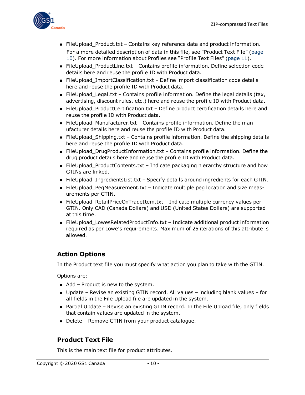

- FileUpload\_Product.txt Contains key reference data and product information. For a more detailed description of data in this file, see "Product Text File" ([page](#page-9-1) [10\)](#page-9-1). For more information about Profiles see "Profile Text Files" ([page](#page-10-0) 11).
- <sup>n</sup> FileUpload\_ProductLine.txt Contains profile information. Define selection code details here and reuse the profile ID with Product data.
- FileUpload\_ImportClassification.txt Define import classification code details here and reuse the profile ID with Product data.
- FileUpload\_Legal.txt Contains profile information. Define the legal details (tax, advertising, discount rules, etc.) here and reuse the profile ID with Product data.
- FileUpload\_ProductCertification.txt Define product certification details here and reuse the profile ID with Product data.
- FileUpload\_Manufacturer.txt Contains profile information. Define the manufacturer details here and reuse the profile ID with Product data.
- FileUpload\_Shipping.txt Contains profile information. Define the shipping details here and reuse the profile ID with Product data.
- FileUpload\_DrugProductInformation.txt Contains profile information. Define the drug product details here and reuse the profile ID with Product data.
- FileUpload\_ProductContents.txt Indicate packaging hierarchy structure and how GTINs are linked.
- FileUpload\_IngredientsList.txt Specify details around ingredients for each GTIN.
- FileUpload\_PegMeasurement.txt Indicate multiple peg location and size measurements per GTIN.
- FileUpload\_RetailPriceOnTradeItem.txt Indicate multiple currency values per GTIN. Only CAD (Canada Dollars) and USD (United States Dollars) are supported at this time.
- FileUpload\_LowesRelatedProductInfo.txt Indicate additional product information required as per Lowe's requirements. Maximum of 25 iterations of this attribute is allowed.

#### <span id="page-9-0"></span>**Action Options**

In the Product text file you must specify what action you plan to take with the GTIN.

Options are:

- $\blacksquare$  Add Product is new to the system.
- $\blacksquare$  Update Revise an existing GTIN record. All values including blank values for all fields in the File Upload file are updated in the system.
- **n** Partial Update Revise an existing GTIN record. In the File Upload file, only fields that contain values are updated in the system.
- Delete Remove GTIN from your product catalogue.

#### <span id="page-9-1"></span>**Product Text File**

This is the main text file for product attributes.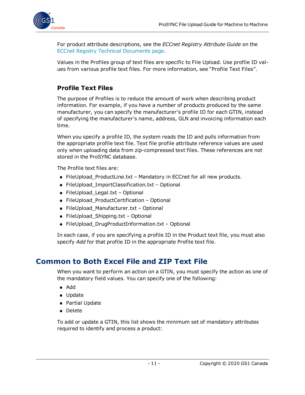

For product attribute descriptions, see the *ECCnet Registry Attribute Guide* on the ECCnet Registry Technical [Documents](https://www.gs1ca.org/apps/eccnet/documents.asp) page.

Values in the Profiles group of text files are specific to File Upload. Use profile ID values from various profile text files. For more information, see "Profile Text Files".

#### <span id="page-10-0"></span>**Profile Text Files**

The purpose of Profiles is to reduce the amount of work when describing product information. For example, if you have a number of products produced by the same manufacturer, you can specify the manufacturer's profile ID for each GTIN, instead of specifying the manufacturer's name, address, GLN and invoicing information each time.

When you specify a profile ID, the system reads the ID and pulls information from the appropriate profile text file. Text file profile attribute reference values are used only when uploading data from zip-compressed text files. These references are not stored in the ProSYNC database.

The Profile text files are:

- FileUpload\_ProductLine.txt Mandatory in ECCnet for all new products.
- FileUpload\_ImportClassification.txt Optional
- FileUpload\_Legal.txt Optional
- FileUpload\_ProductCertification Optional
- FileUpload\_Manufacturer.txt Optional
- FileUpload\_Shipping.txt Optional
- FileUpload\_DrugProductInformation.txt Optional

In each case, if you are specifying a profile ID in the Product text file, you must also specify *Add* for that profile ID in the appropriate Profile text file.

#### <span id="page-10-1"></span>**Common to Both Excel File and ZIP Text File**

When you want to perform an action on a GTIN, you must specify the action as one of the mandatory field values. You can specify one of the following:

- <sup>n</sup> Add
- **n** Update
- **Partial Update**
- <sup>n</sup> Delete

To add or update a GTIN, this list shows the minimum set of mandatory attributes required to identify and process a product: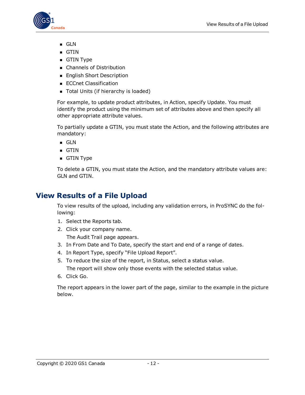

- <sup>n</sup> GLN
- <sup>n</sup> GTIN
- **g** GTIN Type
- Channels of Distribution
- English Short Description
- **ECCnet Classification**
- Total Units (if hierarchy is loaded)

For example, to update product attributes, in Action, specify Update. You must identify the product using the minimum set of attributes above and then specify all other appropriate attribute values.

To partially update a GTIN, you must state the Action, and the following attributes are mandatory:

- <sup>n</sup> GLN
- $\blacksquare$  GTIN
- $\blacksquare$  GTIN Type

To delete a GTIN, you must state the Action, and the mandatory attribute values are: GLN and GTIN.

## <span id="page-11-0"></span>**View Results of a File Upload**

To view results of the upload, including any validation errors, in ProSYNC do the following:

- 1. Select the Reports tab.
- 2. Click your company name. The Audit Trail page appears.
- 3. In From Date and To Date, specify the start and end of a range of dates.
- 4. In Report Type, specify "File Upload Report".
- 5. To reduce the size of the report, in Status, select a status value.

The report will show only those events with the selected status value.

6. Click Go.

The report appears in the lower part of the page, similar to the example in the picture below.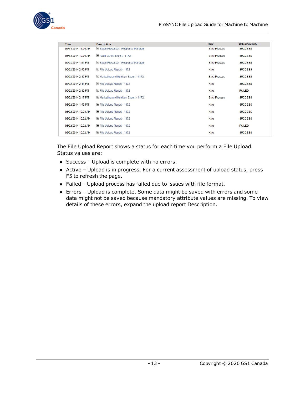

| <b>Time</b>         | <b>Description</b>                             | <b>User</b>         | <b>Status/Severity</b> |
|---------------------|------------------------------------------------|---------------------|------------------------|
| 05/14/2014 11:06 AM | E Batch Processor - Response Manager           | <b>BatchProcess</b> | <b>SUCCESS</b>         |
| 05/13/2014 10:06 AM | E Audit GDSN Export - 1172                     | <b>BatchProcess</b> | <b>SUCCESS</b>         |
| 05/08/2014 1:51 PM  | E Batch Processor - Response Manager           | <b>BatchProcess</b> | <b>SUCCESS</b>         |
| 05/02/2014 2:50 PM  | F File Upload Report - 1172                    | Kate                | <b>SUCCESS</b>         |
| 05/02/2014 2:42 PM  | H Marketing and Nutrition Export - 1172        | <b>BatchProcess</b> | <b>SUCCESS</b>         |
| 05/02/2014 2:41 PM  | E File Upload Report - 1172                    | Kate                | <b>SUCCESS</b>         |
| 05/02/2014 2:40 PM  | E File Upload Report - 1172                    | Kate                | <b>FAILED</b>          |
| 05/02/2014 2:17 PM  | <b>H</b> Marketing and Nutrition Export - 1172 | <b>BatchProcess</b> | <b>SUCCESS</b>         |
| 05/02/2014 1:59 PM  | E File Upload Report - 1172                    | Kate                | <b>SUCCESS</b>         |
| 05/02/2014 10:28 AM | E File Upload Report - 1172                    | Kate                | <b>SUCCESS</b>         |
| 05/02/2014 10:22 AM | El File Upload Report - 1172                   | Kate                | <b>SUCCESS</b>         |
| 05/02/2014 10:22 AM | E File Upload Report - 1172                    | Kate                | <b>FAILED</b>          |
| 05/02/2014 10:22 AM | El File Upload Report - 1172                   | Kate                | <b>SUCCESS</b>         |

The File Upload Report shows a status for each time you perform a File Upload. Status values are:

- Success Upload is complete with no errors.
- <sup>n</sup> Active Upload is in progress. For a current assessment of upload status, press F5 to refresh the page.
- Failed Upload process has failed due to issues with file format.
- <sup>n</sup> Errors Upload is complete. Some data might be saved with errors and some data might not be saved because mandatory attribute values are missing. To view details of these errors, expand the upload report Description.